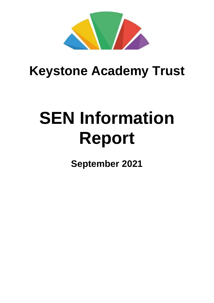

## **Keystone Academy Trust**

# **SEN Information Report**

**September 2021**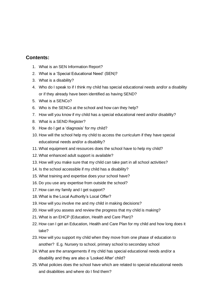#### **Contents:**

- 1. What is an SEN Information Report?
- 2. What is a 'Special Educational Need' (SEN)?
- 3. What is a disability?
- 4. Who do I speak to if I think my child has special educational needs and/or a disability or if they already have been identified as having SEND?
- 5. What is a SENCo?
- 6. Who is the SENCo at the school and how can they help?
- 7. How will you know if my child has a special educational need and/or disability?
- 8. What is a SEND Register?
- 9. How do I get a 'diagnosis' for my child?
- 10. How will the school help my child to access the curriculum if they have special educational needs and/or a disability?
- 11. What equipment and resources does the school have to help my child?
- 12. What enhanced adult support is available?
- 13. How will you make sure that my child can take part in all school activities?
- 14. Is the school accessible if my child has a disability?
- 15. What training and expertise does your school have?
- 16. Do you use any expertise from outside the school?
- 17. How can my family and I get support?
- 18. What is the Local Authority's Local Offer?
- 19. How will you involve me and my child in making decisions?
- 20. How will you assess and review the progress that my child is making?
- 21. What is an EHCP (Education, Health and Care Plan)?
- 22. How can I get an Education, Health and Care Plan for my child and how long does it take?
- 23. How will you support my child when they move from one phase of education to another? E.g. Nursery to school, primary school to secondary school
- 24. What are the arrangements if my child has special educational needs and/or a disability and they are also a 'Looked After' child?
- 25. What policies does the school have which are related to special educational needs and disabilities and where do I find them?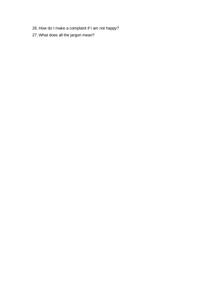- 26. How do I make a complaint if I am not happy?
- 27. What does all the jargon mean?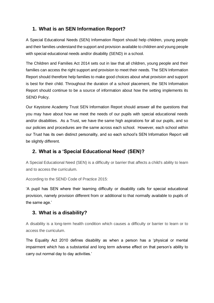#### **1. What is an SEN Information Report?**

A Special Educational Needs (SEN) Information Report should help children, young people and their families understand the support and provision available to children and young people with special educational needs and/or disability (SEND) in a school.

The Children and Families Act 2014 sets out in law that all children, young people and their families can access the right support and provision to meet their needs. The SEN Information Report should therefore help families to make good choices about what provision and support is best for their child. Throughout the duration of a school placement, the SEN Information Report should continue to be a source of information about how the setting implements its SEND Policy.

Our Keystone Academy Trust SEN Information Report should answer all the questions that you may have about how we meet the needs of our pupils with special educational needs and/or disabilities. As a Trust, we have the same high aspirations for all our pupils, and so our policies and procedures are the same across each school. However, each school within our Trust has its own distinct personality, and so each school's SEN Information Report will be slightly different.

#### **2. What is a 'Special Educational Need' (SEN)?**

A Special Educational Need (SEN) is a difficulty or barrier that affects a child's ability to learn and to access the curriculum.

According to the SEND Code of Practice 2015:

'A pupil has SEN where their learning difficulty or disability calls for special educational provision, namely provision different from or additional to that normally available to pupils of the same age.'

#### **3. What is a disability?**

A disability is a long-term health condition which causes a difficulty or barrier to learn or to access the curriculum.

The Equality Act 2010 defines disability as when a person has a 'physical or mental impairment which has a substantial and long term adverse effect on that person's ability to carry out normal day to day activities.'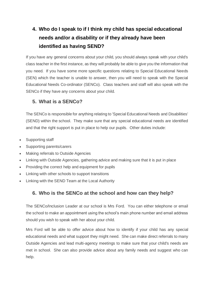## **4. Who do I speak to if I think my child has special educational needs and/or a disability or if they already have been identified as having SEND?**

If you have any general concerns about your child, you should always speak with your child's class teacher in the first instance, as they will probably be able to give you the information that you need. If you have some more specific questions relating to Special Educational Needs (SEN) which the teacher is unable to answer, then you will need to speak with the Special Educational Needs Co-ordinator (SENCo). Class teachers and staff will also speak with the SENCo if they have any concerns about your child.

#### **5. What is a SENCo?**

The SENCo is responsible for anything relating to 'Special Educational Needs and Disabilities' (SEND) within the school. They make sure that any special educational needs are identified and that the right support is put in place to help our pupils. Other duties include:

- Supporting staff
- Supporting parents/carers
- Making referrals to Outside Agencies
- Linking with Outside Agencies, gathering advice and making sure that it is put in place
- Providing the correct help and equipment for pupils
- Linking with other schools to support transitions
- Linking with the SEND Team at the Local Authority

## **6. Who is the SENCo at the school and how can they help?**

The SENCo/Inclusion Leader at our school is Mrs Ford. You can either telephone or email the school to make an appointment using the school's main phone number and email address should you wish to speak with her about your child.

Mrs Ford will be able to offer advice about how to identify if your child has any special educational needs and what support they might need. She can make direct referrals to many Outside Agencies and lead multi-agency meetings to make sure that your child's needs are met in school. She can also provide advice about any family needs and suggest who can help.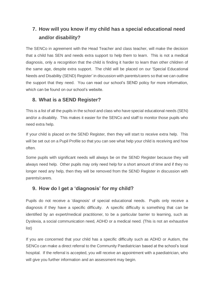## **7. How will you know if my child has a special educational need and/or disability?**

The SENCo in agreement with the Head Teacher and class teacher, will make the decision that a child has SEN and needs extra support to help them to learn. This is not a medical diagnosis, only a recognition that the child is finding it harder to learn than other children of the same age, despite extra support. The child will be placed on our 'Special Educational Needs and Disability (SEND) Register' in discussion with parents/carers so that we can outline the support that they need. You can read our school's SEND policy for more information, which can be found on our school's website.

#### **8. What is a SEND Register?**

This is a list of all the pupils in the school and class who have special educational needs (SEN) and/or a disability. This makes it easier for the SENCo and staff to monitor those pupils who need extra help.

If your child is placed on the SEND Register, then they will start to receive extra help. This will be set out on a Pupil Profile so that you can see what help your child is receiving and how often.

Some pupils with significant needs will always be on the SEND Register because they will always need help. Other pupils may only need help for a short amount of time and if they no longer need any help, then they will be removed from the SEND Register in discussion with parents/carers.

#### **9. How do I get a 'diagnosis' for my child?**

Pupils do not receive a 'diagnosis' of special educational needs. Pupils only receive a diagnosis if they have a specific difficulty. A specific difficulty is something that can be identified by an expert/medical practitioner, to be a particular barrier to learning, such as Dyslexia, a social communication need, ADHD or a medical need. (This is not an exhaustive list)

If you are concerned that your child has a specific difficulty such as ADHD or Autism, the SENCo can make a direct referral to the Community Paediatrician based at the school's local hospital. If the referral is accepted, you will receive an appointment with a paediatrician, who will give you further information and an assessment may begin.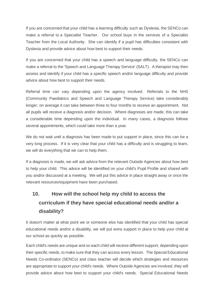If you are concerned that your child has a learning difficulty such as Dyslexia, the SENCo can make a referral to a Specialist Teacher. Our school buys in the services of a Specialist Teacher from the Local Authority. She can identify if a pupil has difficulties consistent with Dyslexia and provide advice about how best to support their needs.

If you are concerned that your child has a speech and language difficulty, the SENCo can make a referral to the 'Speech and Language Therapy Service' (SALT). A therapist may then assess and identify if your child has a specific speech and/or language difficulty and provide advice about how best to support their needs.

Referral time can vary depending upon the agency involved. Referrals to the NHS (Community Paediatrics and Speech and Language Therapy Service) take considerably longer; on average it can take between three to four months to receive an appointment. Not all pupils will receive a diagnosis and/or decision. Where diagnoses are made, this can take a considerable time depending upon the individual. In many cases, a diagnosis follows several appointments, which could take more than a year.

We do not wait until a diagnosis has been made to put support in place, since this can be a very long process. If it is very clear that your child has a difficulty and is struggling to learn, we will do everything that we can to help them.

If a diagnosis is made, we will ask advice from the relevant Outside Agencies about how best to help your child. This advice will be identified on your child's Pupil Profile and shared with you and/or discussed at a meeting. We will put this advice in place straight away or once the relevant resources/equipment have been purchased.

## **10. How will the school help my child to access the curriculum if they have special educational needs and/or a disability?**

It doesn't matter at what point we or someone else has identified that your child has special educational needs and/or a disability, we will put extra support in place to help your child at our school as quickly as possible.

Each child's needs are unique and so each child will receive different support, depending upon their specific needs, to make sure that they can access every lesson. The Special Educational Needs Co-ordinator (SENCo) and class teacher will decide which strategies and resources are appropriate to support your child's needs. Where Outside Agencies are involved, they will provide advice about how best to support your child's needs. Special Educational Needs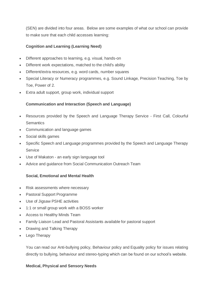(SEN) are divided into four areas. Below are some examples of what our school can provide to make sure that each child accesses learning:

#### **Cognition and Learning (Learning Need)**

- Different approaches to learning, e.g. visual, hands-on
- Different work expectations, matched to the child's ability
- Different/extra resources, e.g. word cards, number squares
- Special Literacy or Numeracy programmes, e.g. Sound Linkage, Precision Teaching, Toe by Toe, Power of 2.
- Extra adult support, group work, individual support

#### **Communication and Interaction (Speech and Language)**

- Resources provided by the Speech and Language Therapy Service First Call, Colourful **Semantics**
- Communication and language games
- Social skills games
- Specific Speech and Language programmes provided by the Speech and Language Therapy **Service**
- Use of Makaton an early sign language tool
- Advice and guidance from Social Communication Outreach Team

#### **Social, Emotional and Mental Health**

- Risk assessments where necessary
- Pastoral Support Programme
- Use of Jigsaw PSHE activities
- 1:1 or small group work with a BOSS worker
- Access to Healthy Minds Team
- Family Liaison Lead and Pastoral Assistants available for pastoral support
- Drawing and Talking Therapy
- Lego Therapy

You can read our Anti-bullying policy, Behaviour policy and Equality policy for issues relating directly to bullying, behaviour and stereo-typing which can be found on our school's website.

#### **Medical, Physical and Sensory Needs**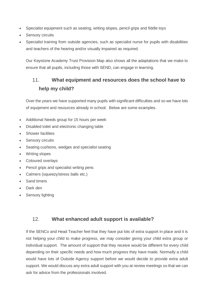- Specialist equipment such as seating, writing slopes, pencil grips and fiddle toys
- Sensory circuits
- Specialist training from outside agencies, such as specialist nurse for pupils with disabilities and teachers of the hearing and/or visually impaired as required.

Our Keystone Academy Trust Provision Map also shows all the adaptations that we make to ensure that all pupils, including those with SEND, can engage in learning.

## 11. **What equipment and resources does the school have to help my child?**

Over the years we have supported many pupils with significant difficulties and so we have lots of equipment and resources already in school. Below are some examples.

- Additional Needs group for 15 hours per week
- Disabled toilet and electronic changing table
- **Shower facilities**
- Sensory circuits
- Seating cushions, wedges and specialist seating
- Writing slopes
- Coloured overlays
- Pencil grips and specialist writing pens
- Calmers (squeezy/stress balls etc.)
- Sand timers
- Dark den
- Sensory lighting

#### 12. **What enhanced adult support is available?**

If the SENCo and Head Teacher feel that they have put lots of extra support in place and it is not helping your child to make progress, we may consider giving your child extra group or individual support. The amount of support that they receive would be different for every child depending on their specific needs and how much progress they have made. Normally a child would have lots of Outside Agency support before we would decide to provide extra adult support. We would discuss any extra adult support with you at review meetings so that we can ask for advice from the professionals involved.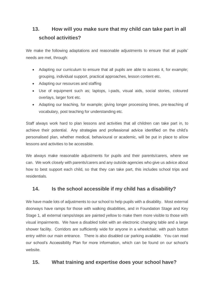## **13. How will you make sure that my child can take part in all school activities?**

We make the following adaptations and reasonable adjustments to ensure that all pupils' needs are met, through:

- Adapting our curriculum to ensure that all pupils are able to access it, for example; grouping, individual support, practical approaches, lesson content etc.
- Adapting our resources and staffing
- Use of equipment such as; laptops, i-pads, visual aids, social stories, coloured overlays, larger font etc.
- Adapting our teaching, for example; giving longer processing times, pre-teaching of vocabulary, post teaching for understanding etc.

Staff always work hard to plan lessons and activities that all children can take part in, to achieve their potential. Any strategies and professional advice identified on the child's personalised plan, whether medical, behavioural or academic, will be put in place to allow lessons and activities to be accessible.

We always make reasonable adjustments for pupils and their parents/carers, where we can. We work closely with parents/carers and any outside agencies who give us advice about how to best support each child, so that they can take part, this includes school trips and residentials.

#### **14. Is the school accessible if my child has a disability?**

We have made lots of adjustments to our school to help pupils with a disability. Most external doorways have ramps for those with walking disabilities, and in Foundation Stage and Key Stage 1, all external ramps/steps are painted yellow to make them more visible to those with visual impairments. We have a disabled toilet with an electronic changing table and a large shower facility. Corridors are sufficiently wide for anyone in a wheelchair, with push button entry within our main entrance. There is also disabled car parking available. You can read our school's Accessibility Plan for more information, which can be found on our school's website.

#### **15. What training and expertise does your school have?**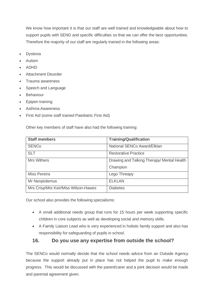We know how important it is that our staff are well trained and knowledgeable about how to support pupils with SEND and specific difficulties so that we can offer the best opportunities. Therefore the majority of our staff are regularly trained in the following areas:

- **Dyslexia**
- Autism
- ADHD
- Attachment Disorder
- Trauma awareness
- Speech and Language
- **Behaviour**
- Epipen training
- Asthma Awareness
- First Aid (some staff trained Paediatric First Aid)

Other key members of staff have also had the following training:

| <b>Staff members</b>                 | <b>Training/Qualification</b>              |
|--------------------------------------|--------------------------------------------|
| <b>SENCo</b>                         | National SENCo Award/Elklan                |
| <b>SLT</b>                           | <b>Restorative Practice</b>                |
| <b>Mrs Withers</b>                   | Drawing and Talking Therapy/ Mental Health |
|                                      | Champion                                   |
| Miss Pereira                         | Lego Threapy                               |
| Mr Neoptolemus                       | <b>ELKLAN</b>                              |
| Mrs Crisp/Mrs Keir/Miss Wilson-Hawes | <b>Diabetes</b>                            |

Our school also provides the following specialisms:

- A small additional needs group that runs for 15 hours per week supporting specific children in core subjects as well as developing social and memory skills.
- A Family Liaison Lead who is very experienced in holistic family support and also has responsibility for safeguarding of pupils in school.

#### **16. Do you use any expertise from outside the school?**

The SENCo would normally decide that the school needs advice from an Outside Agency because the support already put in place has not helped the pupil to make enough progress. This would be discussed with the parent/carer and a joint decision would be made and parental agreement given.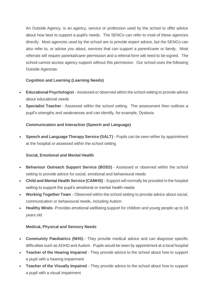An Outside Agency, is an agency, service or profession used by the school to offer advice about how best to support a pupil's needs. The SENCo can refer to most of these agencies directly. Most agencies used by the school are to provide expert advice, but the SENCo can also refer to, or advise you about, services that can support a parent/carer or family. Most referrals will require parental/carer permission and a referral form will need to be signed. The school cannot access agency support without this permission. Our school uses the following Outside Agencies:

#### **Cognition and Learning (Learning Needs)**

- **Educational Psychologist** Assessed or observed within the school setting to provide advice about educational needs
- **Specialist Teacher** Assessed within the school setting. The assessment then outlines a pupil's strengths and weaknesses and can identify, for example, Dyslexia

#### **Communication and Interaction (Speech and Language)**

• **Speech and Language Therapy Service (SALT)** - Pupils can be seen either by appointment at the hospital or assessed within the school setting

#### **Social, Emotional and Mental Health**

- **Behaviour Outreach Support Service (BOSS)** Assessed or observed within the school setting to provide advice for social, emotional and behavioural needs
- **Child and Mental Health Service (CAMHS)** Support will normally be provided in the hospital setting to support the pupil's emotional or mental health needs
- **Working Together Team** Observed within the school setting to provide advice about social, communication or behavioural needs, including Autism
- **Healthy Minds** -Provides emotional wellbeing support for children and young people up to 19 years old

#### **Medical, Physical and Sensory Needs**

- **Community Paediatrics (NHS)** They provide medical advice and can diagnose specific difficulties such as ADHD and Autism. Pupils would be seen by appointment at a local hospital
- **Teacher of the Hearing Impaired** They provide advice to the school about how to support a pupil with a hearing impairment
- **Teacher of the Visually Impaired** They provide advice to the school about how to support a pupil with a visual impairment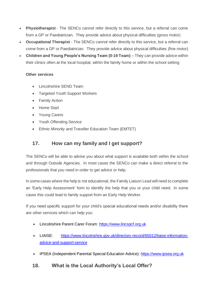- **Physiotherapist** The SENCo cannot refer directly to this service, but a referral can come from a GP or Paediatrician. They provide advice about physical difficulties (gross motor)
- **Occupational Therapist** The SENCo cannot refer directly to this service, but a referral can come from a GP or Paediatrician. They provide advice about physical difficulties (fine motor)
- **Children and Young People's Nursing Team (0-19 Team)** They can provide advice within their clinics often at the local hospital, within the family home or within the school setting

#### **Other services**

- Lincolnshire SEND Team
- Targeted Youth Support Workers
- Family Action
- Home Start
- Young Carers
- Youth Offending Service
- Ethnic Minority and Traveller Education Team (EMTET)

## **17. How can my family and I get support?**

The SENCo will be able to advise you about what support is available both within the school and through Outside Agencies. In most cases the SENCo can make a direct referral to the professionals that you need in order to get advice or help.

In some cases where the help is not educational, the Family Liaison Lead will need to complete an 'Early Help Assessment' form to identify the help that you or your child need. In some cases this could lead to family support from an Early Help Worker.

If you need specific support for your child's special educational needs and/or disability there are other services which can help you:

- Lincolnshire Parent Carer Forum: [https://www.lincspcf.org.uk](https://www.lincspcf.org.uk/)
- LIAISE: [https://www.lincolnshire.gov.uk/directory-record/65012/liaise-information](https://www.lincolnshire.gov.uk/directory-record/65012/liaise-information-advice-and-support-service)[advice-and-support-service](https://www.lincolnshire.gov.uk/directory-record/65012/liaise-information-advice-and-support-service)
- IPSEA (Independent Parental Special Education Advice): [https://www.ipsea.org.uk](https://www.ipsea.org.uk/)

#### **18. What is the Local Authority's Local Offer?**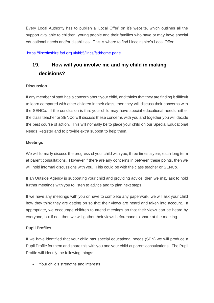Every Local Authority has to publish a 'Local Offer' on it's website, which outlines all the support available to children, young people and their families who have or may have special educational needs and/or disabilities. This is where to find Lincolnshire's Local Offer:

#### <https://lincolnshire.fsd.org.uk/kb5/lincs/fsd/home.page>

## **19. How will you involve me and my child in making decisions?**

#### **Discussion**

If any member of staff has a concern about your child, and thinks that they are finding it difficult to learn compared with other children in their class, then they will discuss their concerns with the SENCo. If the conclusion is that your child may have special educational needs, either the class teacher or SENCo will discuss these concerns with you and together you will decide the best course of action. This will normally be to place your child on our Special Educational Needs Register and to provide extra support to help them.

#### **Meetings**

We will formally discuss the progress of your child with you, three times a year, each long term at parent consultations. However if there are any concerns in between these points, then we will hold informal discussions with you. This could be with the class teacher or SENCo.

If an Outside Agency is supporting your child and providing advice, then we may ask to hold further meetings with you to listen to advice and to plan next steps.

If we have any meetings with you or have to complete any paperwork, we will ask your child how they think they are getting on so that their views are heard and taken into account. If appropriate, we encourage children to attend meetings so that their views can be heard by everyone, but if not, then we will gather their views beforehand to share at the meeting.

#### **Pupil Profiles**

If we have identified that your child has special educational needs (SEN) we will produce a Pupil Profile for them and share this with you and your child at parent consultations. The Pupil Profile will identify the following things:

• Your child's strengths and interests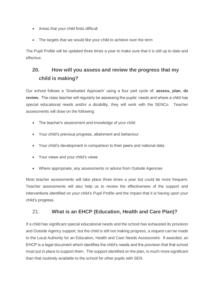- Areas that your child finds difficult
- The targets that we would like your child to achieve over the term

The Pupil Profile will be updated three times a year to make sure that it is still up to date and effective.

## **20. How will you assess and review the progress that my child is making?**

Our school follows a 'Graduated Approach' using a four part cycle of; **assess, plan, do review.** The class teacher will regularly be assessing the pupils' needs and where a child has special educational needs and/or a disability, they will work with the SENCo. Teacher assessments will draw on the following:

- The teacher's assessment and knowledge of your child
- Your child's previous progress, attainment and behaviour
- Your child's development in comparison to their peers and national data
- Your views and your child's views
- Where appropriate, any assessments or advice from Outside Agencies

Most teacher assessments will take place three times a year but could be more frequent. Teacher assessments will also help us to review the effectiveness of the support and interventions identified on your child's Pupil Profile and the impact that it is having upon your child's progress.

#### 21. **What is an EHCP (Education, Health and Care Plan)?**

If a child has significant special educational needs and the school has exhausted its provision and Outside Agency support, but the child is still not making progress, a request can be made to the Local Authority for an Education, Health and Care Needs Assessment. If awarded, an EHCP is a legal document which identifies the child's needs and the provision that that school must put in place to support them. The support identified on the plan, is much more significant than that routinely available to the school for other pupils with SEN.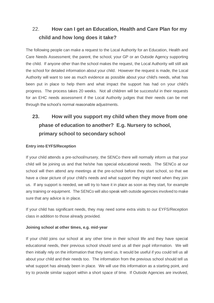## 22. **How can I get an Education, Health and Care Plan for my child and how long does it take?**

The following people can make a request to the Local Authority for an Education, Health and Care Needs Assessment; the parent, the school, your GP or an Outside Agency supporting the child. If anyone other than the school makes the request, the Local Authority will still ask the school for detailed information about your child. However the request is made, the Local Authority will want to see as much evidence as possible about your child's needs, what has been put in place to help them and what impact the support has had on your child's progress. The process takes 20 weeks. Not all children will be successful in their requests for an EHC needs assessment if the Local Authority judges that their needs can be met through the school's normal reasonable adjustments.

## **23. How will you support my child when they move from one phase of education to another? E.g. Nursery to school, primary school to secondary school**

#### **Entry into EYFS/Reception**

If your child attends a pre-school/nursery, the SENCo there will normally inform us that your child will be joining us and that he/she has special educational needs. The SENCo at our school will then attend any meetings at the pre-school before they start school, so that we have a clear picture of your child's needs and what support they might need when they join us. If any support is needed, we will try to have it in place as soon as they start, for example any training or equipment. The SENCo will also speak with outside agencies involved to make sure that any advice is in place.

If your child has significant needs, they may need some extra visits to our EYFS/Reception class in addition to those already provided.

#### **Joining school at other times, e.g. mid-year**

If your child joins our school at any other time in their school life and they have special educational needs, their previous school should send us all their pupil information. We will then initially rely on the information that they send us. It would be useful if you could tell us all about your child and their needs too. The information from the previous school should tell us what support has already been in place. We will use this information as a starting point, and try to provide similar support within a short space of time. If Outside Agencies are involved,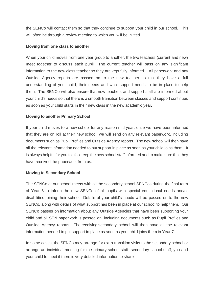the SENCo will contact them so that they continue to support your child in our school. This will often be through a review meeting to which you will be invited.

#### **Moving from one class to another**

When your child moves from one year group to another, the two teachers (current and new) meet together to discuss each pupil. The current teacher will pass on any significant information to the new class teacher so they are kept fully informed. All paperwork and any Outside Agency reports are passed on to the new teacher so that they have a full understanding of your child, their needs and what support needs to be in place to help them. The SENCo will also ensure that new teachers and support staff are informed about your child's needs so that there is a smooth transition between classes and support continues as soon as your child starts in their new class in the new academic year.

#### **Moving to another Primary School**

If your child moves to a new school for any reason mid-year, once we have been informed that they are on roll at their new school, we will send on any relevant paperwork, including documents such as Pupil Profiles and Outside Agency reports. The new school will then have all the relevant information needed to put support in place as soon as your child joins them. It is always helpful for you to also keep the new school staff informed and to make sure that they have received the paperwork from us.

#### **Moving to Secondary School**

The SENCo at our school meets with all the secondary school SENCos during the final term of Year 6 to inform the new SENCo of all pupils with special educational needs and/or disabilities joining their school. Details of your child's needs will be passed on to the new SENCo, along with details of what support has been in place at our school to help them. Our SENCo passes on information about any Outside Agencies that have been supporting your child and all SEN paperwork is passed on, including documents such as Pupil Profiles and Outside Agency reports. The receiving secondary school will then have all the relevant information needed to put support in place as soon as your child joins them in Year 7.

In some cases, the SENCo may arrange for extra transition visits to the secondary school or arrange an individual meeting for the primary school staff, secondary school staff, you and your child to meet if there is very detailed information to share.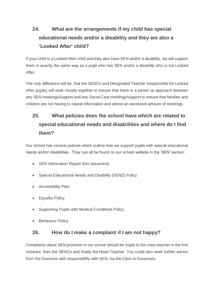## **24. What are the arrangements if my child has special educational needs and/or a disability and they are also a 'Looked After' child?**

If your child is a Looked After child and they also have SEN and/or a disability, we will support them in exactly the same way as a pupil who has SEN and/or a disability who is not Looked After.

The only difference will be, that the SENCo and Designated Teacher (responsible for Looked After pupils) will work closely together to ensure that there is a joined up approach between any SEN meetings/support and any Social Care meetings/support to ensure that families and children are not having to repeat information and attend an excessive amount of meetings.

## **25. What policies does the school have which are related to special educational needs and disabilities and where do I find them?**

Our school has several policies which outline how we support pupils with special educational needs and/or disabilities. They can all be found on our school website in the 'SEN' section:

- SEN Information Report (this document)
- Special Educational Needs and Disability (SEND) Policy
- Accessibility Plan
- Equality Policy
- Supporting Pupils with Medical Conditions Policy
- Behaviour Policy

#### **26. How do I make a complaint if I am not happy?**

Complaints about SEN provision in our school should be made to the class teacher in the first instance, then the SENCo and finally the Head Teacher. You could also seek further advice from the Governor with responsibility with SEN, via the Clerk to Governors.